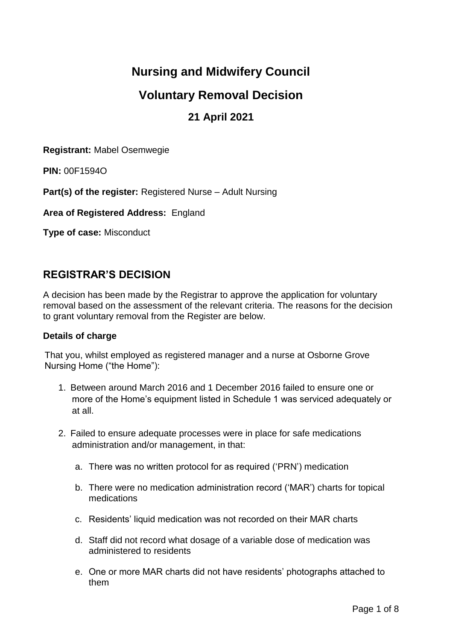# **Nursing and Midwifery Council**

# **Voluntary Removal Decision**

# **21 April 2021**

**Registrant:** Mabel Osemwegie

**PIN:** 00F1594O

**Part(s) of the register:** Registered Nurse – Adult Nursing

**Area of Registered Address:** England

**Type of case:** Misconduct

# **REGISTRAR'S DECISION**

A decision has been made by the Registrar to approve the application for voluntary removal based on the assessment of the relevant criteria. The reasons for the decision to grant voluntary removal from the Register are below.

### **Details of charge**

That you, whilst employed as registered manager and a nurse at Osborne Grove Nursing Home ("the Home"):

- 1. Between around March 2016 and 1 December 2016 failed to ensure one or more of the Home's equipment listed in Schedule 1 was serviced adequately or at all.
- 2. Failed to ensure adequate processes were in place for safe medications administration and/or management, in that:
	- a. There was no written protocol for as required ('PRN') medication
	- b. There were no medication administration record ('MAR') charts for topical medications
	- c. Residents' liquid medication was not recorded on their MAR charts
	- d. Staff did not record what dosage of a variable dose of medication was administered to residents
	- e. One or more MAR charts did not have residents' photographs attached to them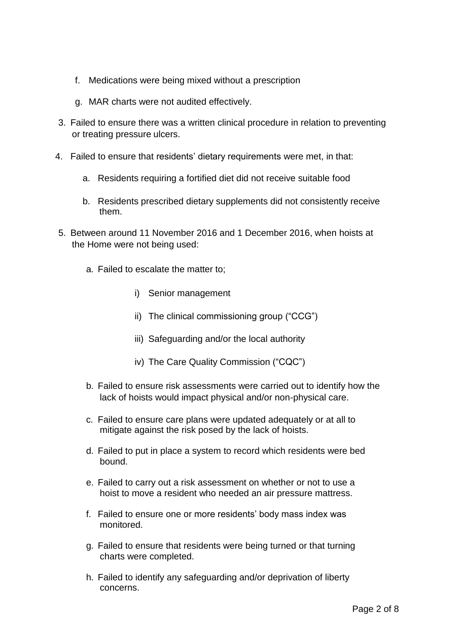- f. Medications were being mixed without a prescription
- g. MAR charts were not audited effectively.
- 3. Failed to ensure there was a written clinical procedure in relation to preventing or treating pressure ulcers.
- 4. Failed to ensure that residents' dietary requirements were met, in that:
	- a. Residents requiring a fortified diet did not receive suitable food
	- b. Residents prescribed dietary supplements did not consistently receive them.
- 5. Between around 11 November 2016 and 1 December 2016, when hoists at the Home were not being used:
	- a. Failed to escalate the matter to;
		- i) Senior management
		- ii) The clinical commissioning group ("CCG")
		- iii) Safeguarding and/or the local authority
		- iv) The Care Quality Commission ("CQC")
	- b. Failed to ensure risk assessments were carried out to identify how the lack of hoists would impact physical and/or non-physical care.
	- c. Failed to ensure care plans were updated adequately or at all to mitigate against the risk posed by the lack of hoists.
	- d. Failed to put in place a system to record which residents were bed bound.
	- e. Failed to carry out a risk assessment on whether or not to use a hoist to move a resident who needed an air pressure mattress.
	- f. Failed to ensure one or more residents' body mass index was monitored.
	- g. Failed to ensure that residents were being turned or that turning charts were completed.
	- h. Failed to identify any safeguarding and/or deprivation of liberty concerns.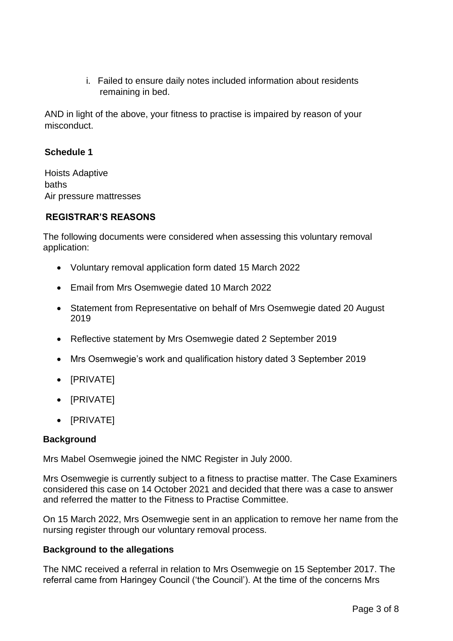i. Failed to ensure daily notes included information about residents remaining in bed.

AND in light of the above, your fitness to practise is impaired by reason of your misconduct.

### **Schedule 1**

Hoists Adaptive baths Air pressure mattresses

### **REGISTRAR'S REASONS**

The following documents were considered when assessing this voluntary removal application:

- Voluntary removal application form dated 15 March 2022
- Email from Mrs Osemwegie dated 10 March 2022
- Statement from Representative on behalf of Mrs Osemwegie dated 20 August 2019
- Reflective statement by Mrs Osemwegie dated 2 September 2019
- Mrs Osemwegie's work and qualification history dated 3 September 2019
- [PRIVATE]
- [PRIVATE]
- [PRIVATE]

## **Background**

Mrs Mabel Osemwegie joined the NMC Register in July 2000.

Mrs Osemwegie is currently subject to a fitness to practise matter. The Case Examiners considered this case on 14 October 2021 and decided that there was a case to answer and referred the matter to the Fitness to Practise Committee.

On 15 March 2022, Mrs Osemwegie sent in an application to remove her name from the nursing register through our voluntary removal process.

### **Background to the allegations**

The NMC received a referral in relation to Mrs Osemwegie on 15 September 2017. The referral came from Haringey Council ('the Council'). At the time of the concerns Mrs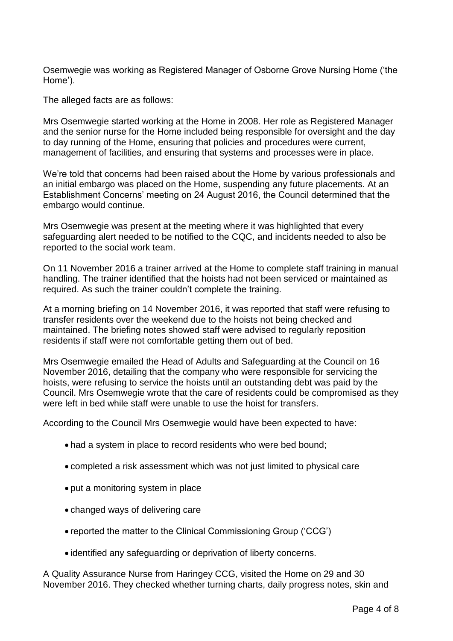Osemwegie was working as Registered Manager of Osborne Grove Nursing Home ('the Home').

The alleged facts are as follows:

Mrs Osemwegie started working at the Home in 2008. Her role as Registered Manager and the senior nurse for the Home included being responsible for oversight and the day to day running of the Home, ensuring that policies and procedures were current, management of facilities, and ensuring that systems and processes were in place.

We're told that concerns had been raised about the Home by various professionals and an initial embargo was placed on the Home, suspending any future placements. At an Establishment Concerns' meeting on 24 August 2016, the Council determined that the embargo would continue.

Mrs Osemwegie was present at the meeting where it was highlighted that every safeguarding alert needed to be notified to the CQC, and incidents needed to also be reported to the social work team.

On 11 November 2016 a trainer arrived at the Home to complete staff training in manual handling. The trainer identified that the hoists had not been serviced or maintained as required. As such the trainer couldn't complete the training.

At a morning briefing on 14 November 2016, it was reported that staff were refusing to transfer residents over the weekend due to the hoists not being checked and maintained. The briefing notes showed staff were advised to regularly reposition residents if staff were not comfortable getting them out of bed.

Mrs Osemwegie emailed the Head of Adults and Safeguarding at the Council on 16 November 2016, detailing that the company who were responsible for servicing the hoists, were refusing to service the hoists until an outstanding debt was paid by the Council. Mrs Osemwegie wrote that the care of residents could be compromised as they were left in bed while staff were unable to use the hoist for transfers.

According to the Council Mrs Osemwegie would have been expected to have:

- had a system in place to record residents who were bed bound;
- completed a risk assessment which was not just limited to physical care
- put a monitoring system in place
- changed ways of delivering care
- reported the matter to the Clinical Commissioning Group ('CCG')
- identified any safeguarding or deprivation of liberty concerns.

A Quality Assurance Nurse from Haringey CCG, visited the Home on 29 and 30 November 2016. They checked whether turning charts, daily progress notes, skin and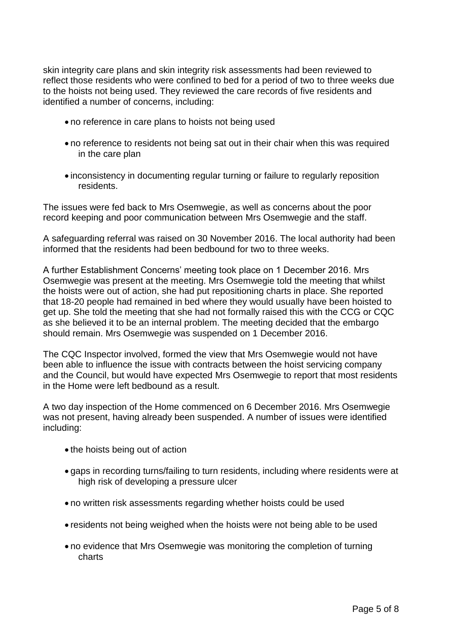skin integrity care plans and skin integrity risk assessments had been reviewed to reflect those residents who were confined to bed for a period of two to three weeks due to the hoists not being used. They reviewed the care records of five residents and identified a number of concerns, including:

- no reference in care plans to hoists not being used
- no reference to residents not being sat out in their chair when this was required in the care plan
- inconsistency in documenting regular turning or failure to regularly reposition residents.

The issues were fed back to Mrs Osemwegie, as well as concerns about the poor record keeping and poor communication between Mrs Osemwegie and the staff.

A safeguarding referral was raised on 30 November 2016. The local authority had been informed that the residents had been bedbound for two to three weeks.

A further Establishment Concerns' meeting took place on 1 December 2016. Mrs Osemwegie was present at the meeting. Mrs Osemwegie told the meeting that whilst the hoists were out of action, she had put repositioning charts in place. She reported that 18-20 people had remained in bed where they would usually have been hoisted to get up. She told the meeting that she had not formally raised this with the CCG or CQC as she believed it to be an internal problem. The meeting decided that the embargo should remain. Mrs Osemwegie was suspended on 1 December 2016.

The CQC Inspector involved, formed the view that Mrs Osemwegie would not have been able to influence the issue with contracts between the hoist servicing company and the Council, but would have expected Mrs Osemwegie to report that most residents in the Home were left bedbound as a result.

A two day inspection of the Home commenced on 6 December 2016. Mrs Osemwegie was not present, having already been suspended. A number of issues were identified including:

- the hoists being out of action
- gaps in recording turns/failing to turn residents, including where residents were at high risk of developing a pressure ulcer
- no written risk assessments regarding whether hoists could be used
- residents not being weighed when the hoists were not being able to be used
- no evidence that Mrs Osemwegie was monitoring the completion of turning charts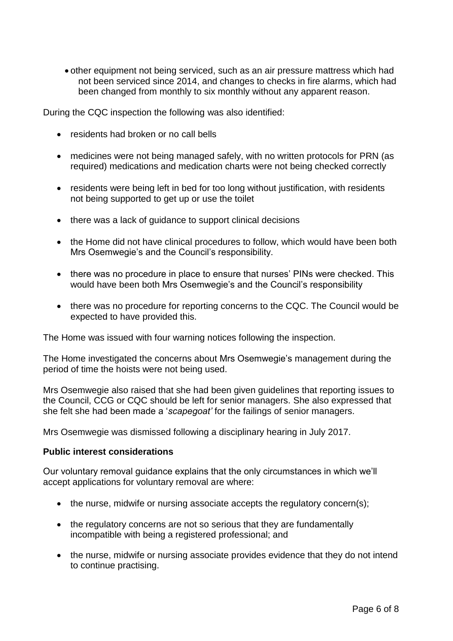other equipment not being serviced, such as an air pressure mattress which had not been serviced since 2014, and changes to checks in fire alarms, which had been changed from monthly to six monthly without any apparent reason.

During the CQC inspection the following was also identified:

- residents had broken or no call bells
- medicines were not being managed safely, with no written protocols for PRN (as required) medications and medication charts were not being checked correctly
- residents were being left in bed for too long without justification, with residents not being supported to get up or use the toilet
- there was a lack of guidance to support clinical decisions
- the Home did not have clinical procedures to follow, which would have been both Mrs Osemwegie's and the Council's responsibility.
- there was no procedure in place to ensure that nurses' PINs were checked. This would have been both Mrs Osemwegie's and the Council's responsibility
- there was no procedure for reporting concerns to the CQC. The Council would be expected to have provided this.

The Home was issued with four warning notices following the inspection.

The Home investigated the concerns about Mrs Osemwegie's management during the period of time the hoists were not being used.

Mrs Osemwegie also raised that she had been given guidelines that reporting issues to the Council, CCG or CQC should be left for senior managers. She also expressed that she felt she had been made a '*scapegoat'* for the failings of senior managers.

Mrs Osemwegie was dismissed following a disciplinary hearing in July 2017.

#### **Public interest considerations**

Our voluntary removal guidance explains that the only circumstances in which we'll accept applications for voluntary removal are where:

- the nurse, midwife or nursing associate accepts the regulatory concern(s);
- the regulatory concerns are not so serious that they are fundamentally incompatible with being a registered professional; and
- the nurse, midwife or nursing associate provides evidence that they do not intend to continue practising.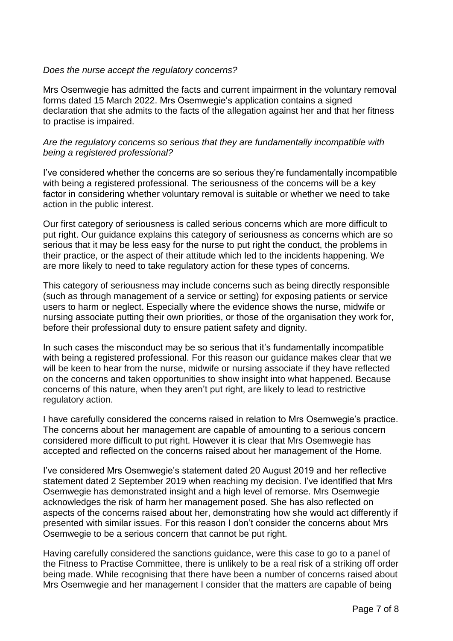#### *Does the nurse accept the regulatory concerns?*

Mrs Osemwegie has admitted the facts and current impairment in the voluntary removal forms dated 15 March 2022. Mrs Osemwegie's application contains a signed declaration that she admits to the facts of the allegation against her and that her fitness to practise is impaired.

#### *Are the regulatory concerns so serious that they are fundamentally incompatible with being a registered professional?*

I've considered whether the concerns are so serious they're fundamentally incompatible with being a registered professional. The seriousness of the concerns will be a key factor in considering whether voluntary removal is suitable or whether we need to take action in the public interest.

Our first category of seriousness is called serious concerns which are more difficult to put right. Our guidance explains this category of seriousness as concerns which are so serious that it may be less easy for the nurse to put right the conduct, the problems in their practice, or the aspect of their attitude which led to the incidents happening. We are more likely to need to take regulatory action for these types of concerns.

This category of seriousness may include concerns such as being directly responsible (such as through management of a service or setting) for exposing patients or service users to harm or neglect. Especially where the evidence shows the nurse, midwife or nursing associate putting their own priorities, or those of the organisation they work for, before their professional duty to ensure patient safety and dignity.

In such cases the misconduct may be so serious that it's fundamentally incompatible with being a registered professional. For this reason our guidance makes clear that we will be keen to hear from the nurse, midwife or nursing associate if they have reflected on the concerns and taken opportunities to show insight into what happened. Because concerns of this nature, when they aren't put right, are likely to lead to restrictive regulatory action.

I have carefully considered the concerns raised in relation to Mrs Osemwegie's practice. The concerns about her management are capable of amounting to a serious concern considered more difficult to put right. However it is clear that Mrs Osemwegie has accepted and reflected on the concerns raised about her management of the Home.

I've considered Mrs Osemwegie's statement dated 20 August 2019 and her reflective statement dated 2 September 2019 when reaching my decision. I've identified that Mrs Osemwegie has demonstrated insight and a high level of remorse. Mrs Osemwegie acknowledges the risk of harm her management posed. She has also reflected on aspects of the concerns raised about her, demonstrating how she would act differently if presented with similar issues. For this reason I don't consider the concerns about Mrs Osemwegie to be a serious concern that cannot be put right.

Having carefully considered the sanctions guidance, were this case to go to a panel of the Fitness to Practise Committee, there is unlikely to be a real risk of a striking off order being made. While recognising that there have been a number of concerns raised about Mrs Osemwegie and her management I consider that the matters are capable of being